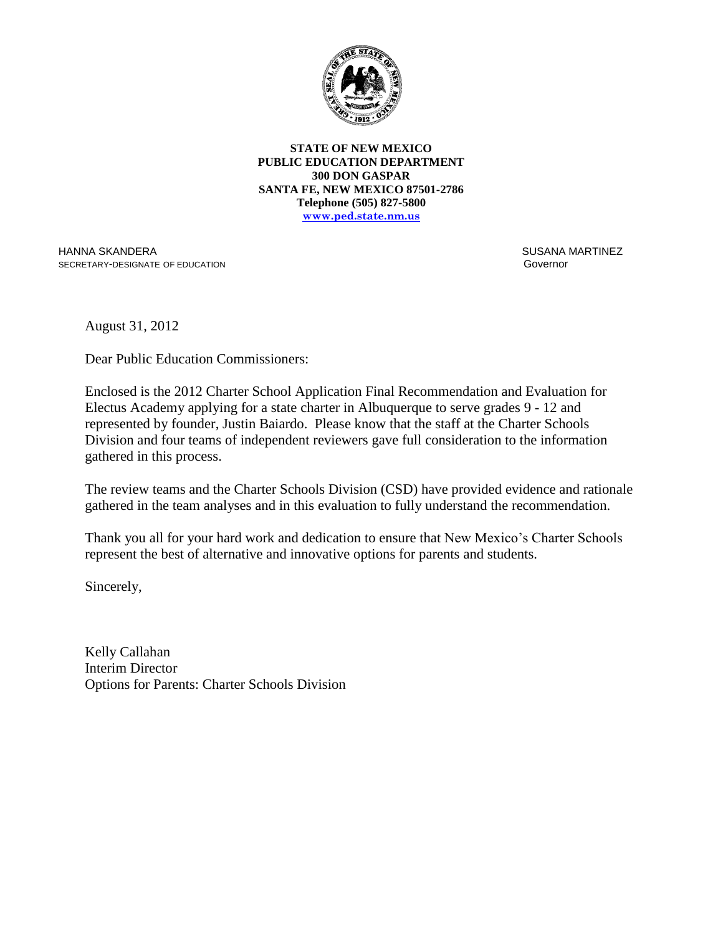

**STATE OF NEW MEXICO PUBLIC EDUCATION DEPARTMENT 300 DON GASPAR SANTA FE, NEW MEXICO 87501-2786 Telephone (505) 827-5800 www.ped.state.nm.us**

HANNA SKANDERA SECRETARY-DESIGNATE OF EDUCATION  SUSANA MARTINEZ Governor

August 31, 2012

Dear Public Education Commissioners:

Enclosed is the 2012 Charter School Application Final Recommendation and Evaluation for Electus Academy applying for a state charter in Albuquerque to serve grades 9 - 12 and represented by founder, Justin Baiardo. Please know that the staff at the Charter Schools Division and four teams of independent reviewers gave full consideration to the information gathered in this process.

The review teams and the Charter Schools Division (CSD) have provided evidence and rationale gathered in the team analyses and in this evaluation to fully understand the recommendation.

Thank you all for your hard work and dedication to ensure that New Mexico's Charter Schools represent the best of alternative and innovative options for parents and students.

Sincerely,

Kelly Callahan Interim Director Options for Parents: Charter Schools Division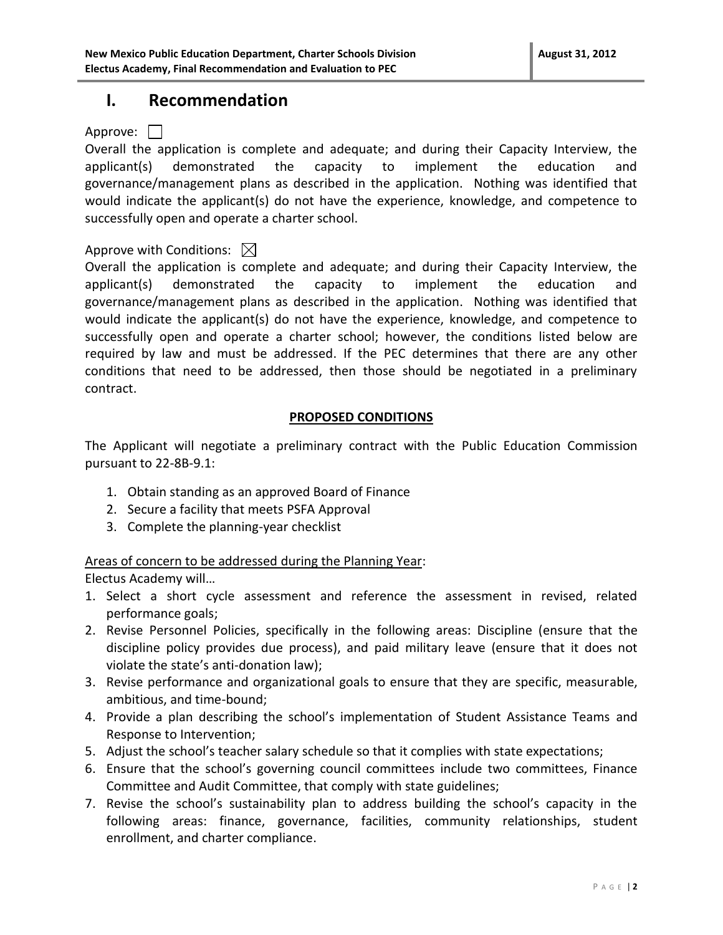## **I. Recommendation**

### Approve:  $\Box$

Overall the application is complete and adequate; and during their Capacity Interview, the applicant(s) demonstrated the capacity to implement the education and governance/management plans as described in the application. Nothing was identified that would indicate the applicant(s) do not have the experience, knowledge, and competence to successfully open and operate a charter school.

### Approve with Conditions:  $\boxtimes$

Overall the application is complete and adequate; and during their Capacity Interview, the applicant(s) demonstrated the capacity to implement the education and governance/management plans as described in the application. Nothing was identified that would indicate the applicant(s) do not have the experience, knowledge, and competence to successfully open and operate a charter school; however, the conditions listed below are required by law and must be addressed. If the PEC determines that there are any other conditions that need to be addressed, then those should be negotiated in a preliminary contract.

### **PROPOSED CONDITIONS**

The Applicant will negotiate a preliminary contract with the Public Education Commission pursuant to 22-8B-9.1:

- 1. Obtain standing as an approved Board of Finance
- 2. Secure a facility that meets PSFA Approval
- 3. Complete the planning-year checklist

Areas of concern to be addressed during the Planning Year:

Electus Academy will…

- 1. Select a short cycle assessment and reference the assessment in revised, related performance goals;
- 2. Revise Personnel Policies, specifically in the following areas: Discipline (ensure that the discipline policy provides due process), and paid military leave (ensure that it does not violate the state's anti-donation law);
- 3. Revise performance and organizational goals to ensure that they are specific, measurable, ambitious, and time-bound;
- 4. Provide a plan describing the school's implementation of Student Assistance Teams and Response to Intervention;
- 5. Adjust the school's teacher salary schedule so that it complies with state expectations;
- 6. Ensure that the school's governing council committees include two committees, Finance Committee and Audit Committee, that comply with state guidelines;
- 7. Revise the school's sustainability plan to address building the school's capacity in the following areas: finance, governance, facilities, community relationships, student enrollment, and charter compliance.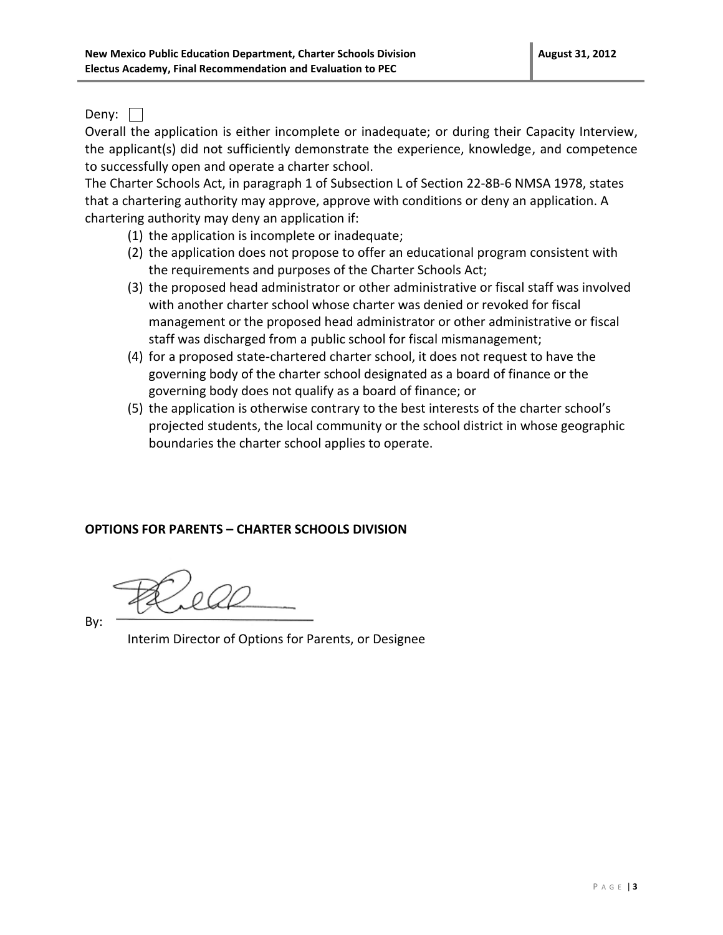Deny:  $\Box$ 

Overall the application is either incomplete or inadequate; or during their Capacity Interview, the applicant(s) did not sufficiently demonstrate the experience, knowledge, and competence to successfully open and operate a charter school.

The Charter Schools Act, in paragraph 1 of Subsection L of Section 22-8B-6 NMSA 1978, states that a chartering authority may approve, approve with conditions or deny an application. A chartering authority may deny an application if:

- (1) the application is incomplete or inadequate;
- (2) the application does not propose to offer an educational program consistent with the requirements and purposes of the Charter Schools Act;
- (3) the proposed head administrator or other administrative or fiscal staff was involved with another charter school whose charter was denied or revoked for fiscal management or the proposed head administrator or other administrative or fiscal staff was discharged from a public school for fiscal mismanagement;
- (4) for a proposed state-chartered charter school, it does not request to have the governing body of the charter school designated as a board of finance or the governing body does not qualify as a board of finance; or
- (5) the application is otherwise contrary to the best interests of the charter school's projected students, the local community or the school district in whose geographic boundaries the charter school applies to operate.

## **OPTIONS FOR PARENTS – CHARTER SCHOOLS DIVISION**

By:

Interim Director of Options for Parents, or Designee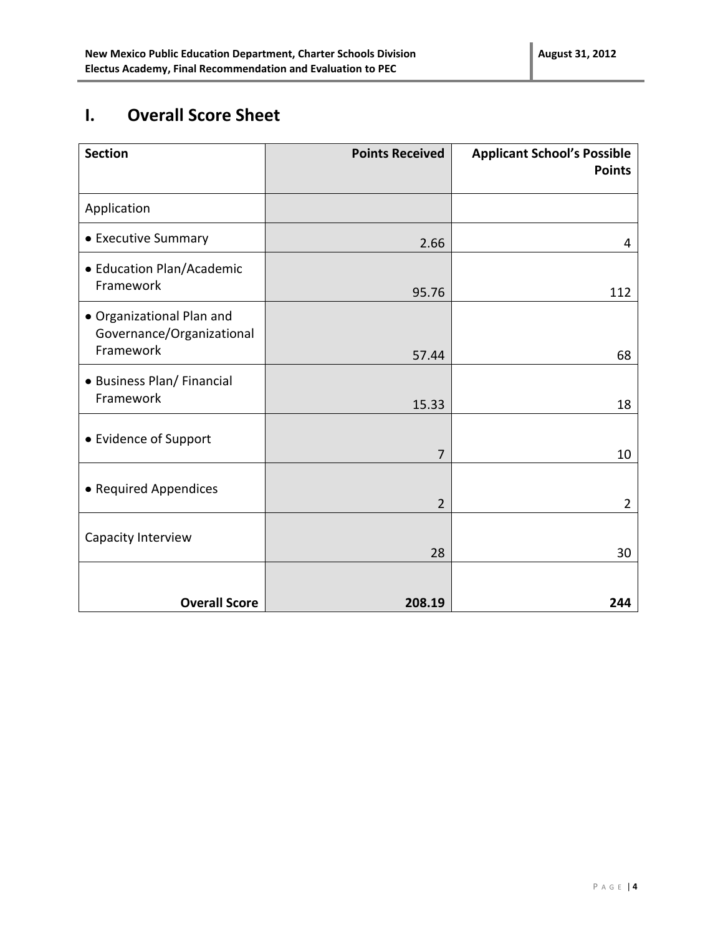# **I. Overall Score Sheet**

| <b>Section</b>                                                      | <b>Points Received</b> | <b>Applicant School's Possible</b><br><b>Points</b> |
|---------------------------------------------------------------------|------------------------|-----------------------------------------------------|
| Application                                                         |                        |                                                     |
| • Executive Summary                                                 | 2.66                   | 4                                                   |
| • Education Plan/Academic<br>Framework                              | 95.76                  | 112                                                 |
| · Organizational Plan and<br>Governance/Organizational<br>Framework | 57.44                  | 68                                                  |
| • Business Plan/ Financial<br>Framework                             | 15.33                  | 18                                                  |
| • Evidence of Support                                               | 7                      | 10                                                  |
| • Required Appendices                                               | $\overline{2}$         | $\overline{2}$                                      |
| Capacity Interview                                                  | 28                     | 30                                                  |
| <b>Overall Score</b>                                                | 208.19                 | 244                                                 |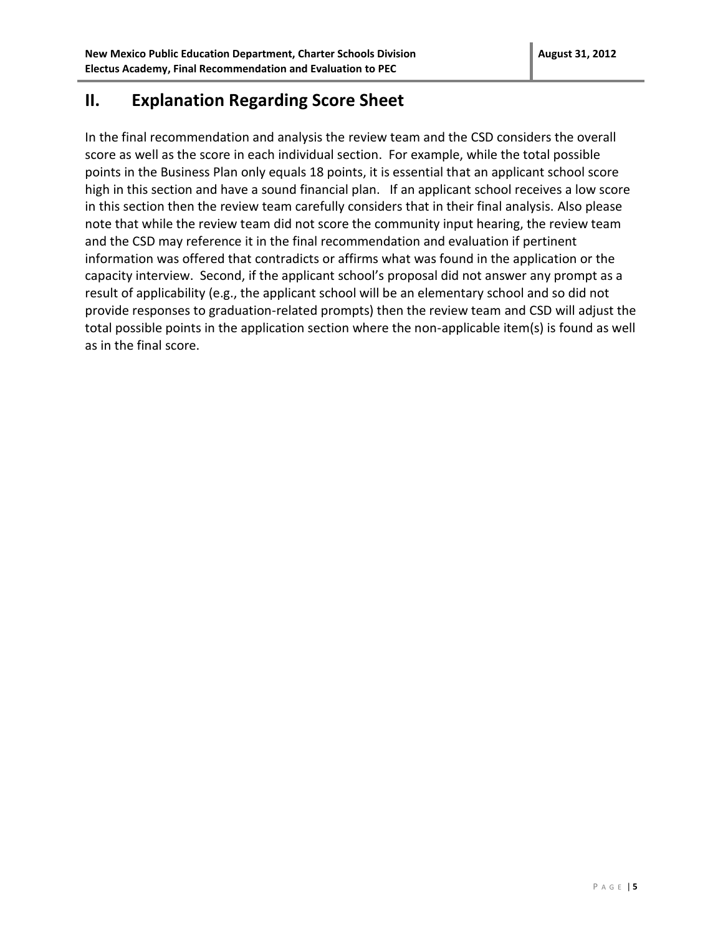## **II. Explanation Regarding Score Sheet**

In the final recommendation and analysis the review team and the CSD considers the overall score as well as the score in each individual section. For example, while the total possible points in the Business Plan only equals 18 points, it is essential that an applicant school score high in this section and have a sound financial plan. If an applicant school receives a low score in this section then the review team carefully considers that in their final analysis. Also please note that while the review team did not score the community input hearing, the review team and the CSD may reference it in the final recommendation and evaluation if pertinent information was offered that contradicts or affirms what was found in the application or the capacity interview. Second, if the applicant school's proposal did not answer any prompt as a result of applicability (e.g., the applicant school will be an elementary school and so did not provide responses to graduation-related prompts) then the review team and CSD will adjust the total possible points in the application section where the non-applicable item(s) is found as well as in the final score.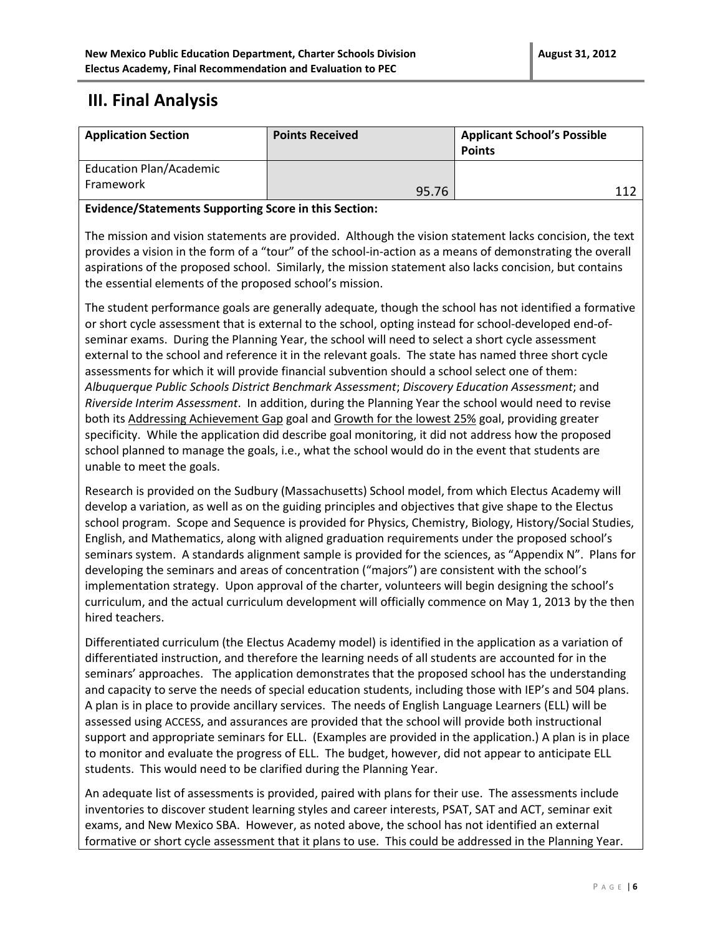## **III. Final Analysis**

| <b>Application Section</b>                  | <b>Points Received</b> | <b>Applicant School's Possible</b><br><b>Points</b> |
|---------------------------------------------|------------------------|-----------------------------------------------------|
| <b>Education Plan/Academic</b><br>Framework | 95.76                  | 11)                                                 |

### **Evidence/Statements Supporting Score in this Section:**

The mission and vision statements are provided. Although the vision statement lacks concision, the text provides a vision in the form of a "tour" of the school-in-action as a means of demonstrating the overall aspirations of the proposed school. Similarly, the mission statement also lacks concision, but contains the essential elements of the proposed school's mission.

The student performance goals are generally adequate, though the school has not identified a formative or short cycle assessment that is external to the school, opting instead for school-developed end-ofseminar exams. During the Planning Year, the school will need to select a short cycle assessment external to the school and reference it in the relevant goals. The state has named three short cycle assessments for which it will provide financial subvention should a school select one of them: *Albuquerque Public Schools District Benchmark Assessment*; *Discovery Education Assessment*; and *Riverside Interim Assessment*. In addition, during the Planning Year the school would need to revise both its Addressing Achievement Gap goal and Growth for the lowest 25% goal, providing greater specificity. While the application did describe goal monitoring, it did not address how the proposed school planned to manage the goals, i.e., what the school would do in the event that students are unable to meet the goals.

Research is provided on the Sudbury (Massachusetts) School model, from which Electus Academy will develop a variation, as well as on the guiding principles and objectives that give shape to the Electus school program. Scope and Sequence is provided for Physics, Chemistry, Biology, History/Social Studies, English, and Mathematics, along with aligned graduation requirements under the proposed school's seminars system. A standards alignment sample is provided for the sciences, as "Appendix N". Plans for developing the seminars and areas of concentration ("majors") are consistent with the school's implementation strategy. Upon approval of the charter, volunteers will begin designing the school's curriculum, and the actual curriculum development will officially commence on May 1, 2013 by the then hired teachers.

Differentiated curriculum (the Electus Academy model) is identified in the application as a variation of differentiated instruction, and therefore the learning needs of all students are accounted for in the seminars' approaches. The application demonstrates that the proposed school has the understanding and capacity to serve the needs of special education students, including those with IEP's and 504 plans. A plan is in place to provide ancillary services. The needs of English Language Learners (ELL) will be assessed using ACCESS, and assurances are provided that the school will provide both instructional support and appropriate seminars for ELL. (Examples are provided in the application.) A plan is in place to monitor and evaluate the progress of ELL. The budget, however, did not appear to anticipate ELL students. This would need to be clarified during the Planning Year.

An adequate list of assessments is provided, paired with plans for their use. The assessments include inventories to discover student learning styles and career interests, PSAT, SAT and ACT, seminar exit exams, and New Mexico SBA. However, as noted above, the school has not identified an external formative or short cycle assessment that it plans to use. This could be addressed in the Planning Year.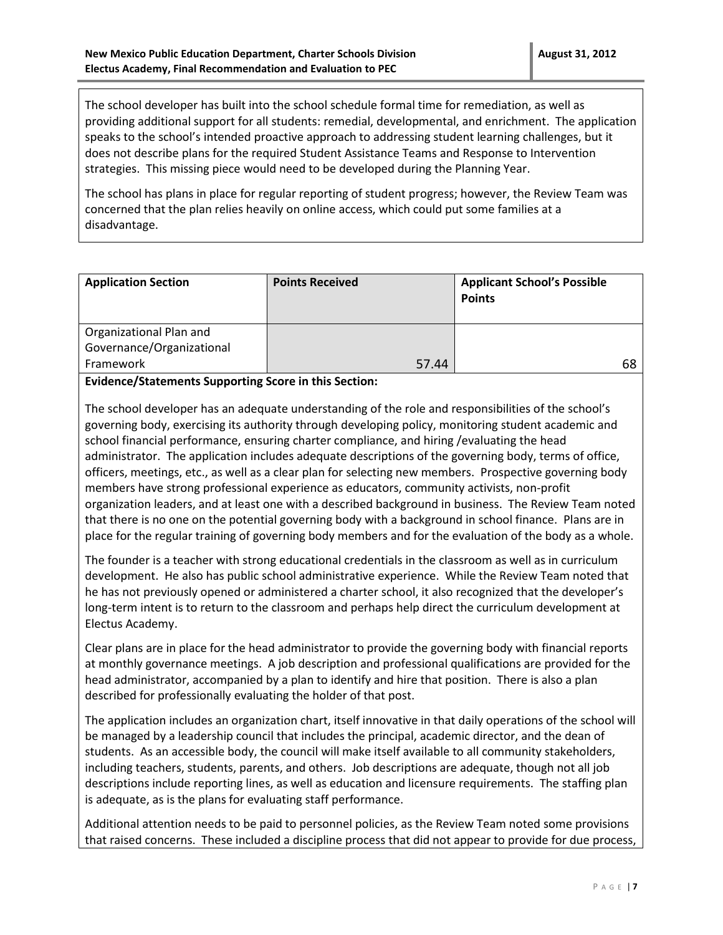The school developer has built into the school schedule formal time for remediation, as well as providing additional support for all students: remedial, developmental, and enrichment. The application speaks to the school's intended proactive approach to addressing student learning challenges, but it does not describe plans for the required Student Assistance Teams and Response to Intervention strategies. This missing piece would need to be developed during the Planning Year.

The school has plans in place for regular reporting of student progress; however, the Review Team was concerned that the plan relies heavily on online access, which could put some families at a disadvantage.

| <b>Application Section</b> | <b>Points Received</b> | <b>Applicant School's Possible</b><br><b>Points</b> |
|----------------------------|------------------------|-----------------------------------------------------|
| Organizational Plan and    |                        |                                                     |
| Governance/Organizational  |                        |                                                     |
| Framework                  | 57.44                  | 68                                                  |

**Evidence/Statements Supporting Score in this Section:**

The school developer has an adequate understanding of the role and responsibilities of the school's governing body, exercising its authority through developing policy, monitoring student academic and school financial performance, ensuring charter compliance, and hiring /evaluating the head administrator. The application includes adequate descriptions of the governing body, terms of office, officers, meetings, etc., as well as a clear plan for selecting new members. Prospective governing body members have strong professional experience as educators, community activists, non-profit organization leaders, and at least one with a described background in business. The Review Team noted that there is no one on the potential governing body with a background in school finance. Plans are in place for the regular training of governing body members and for the evaluation of the body as a whole.

The founder is a teacher with strong educational credentials in the classroom as well as in curriculum development. He also has public school administrative experience. While the Review Team noted that he has not previously opened or administered a charter school, it also recognized that the developer's long-term intent is to return to the classroom and perhaps help direct the curriculum development at Electus Academy.

Clear plans are in place for the head administrator to provide the governing body with financial reports at monthly governance meetings. A job description and professional qualifications are provided for the head administrator, accompanied by a plan to identify and hire that position. There is also a plan described for professionally evaluating the holder of that post.

The application includes an organization chart, itself innovative in that daily operations of the school will be managed by a leadership council that includes the principal, academic director, and the dean of students. As an accessible body, the council will make itself available to all community stakeholders, including teachers, students, parents, and others. Job descriptions are adequate, though not all job descriptions include reporting lines, as well as education and licensure requirements. The staffing plan is adequate, as is the plans for evaluating staff performance.

Additional attention needs to be paid to personnel policies, as the Review Team noted some provisions that raised concerns. These included a discipline process that did not appear to provide for due process,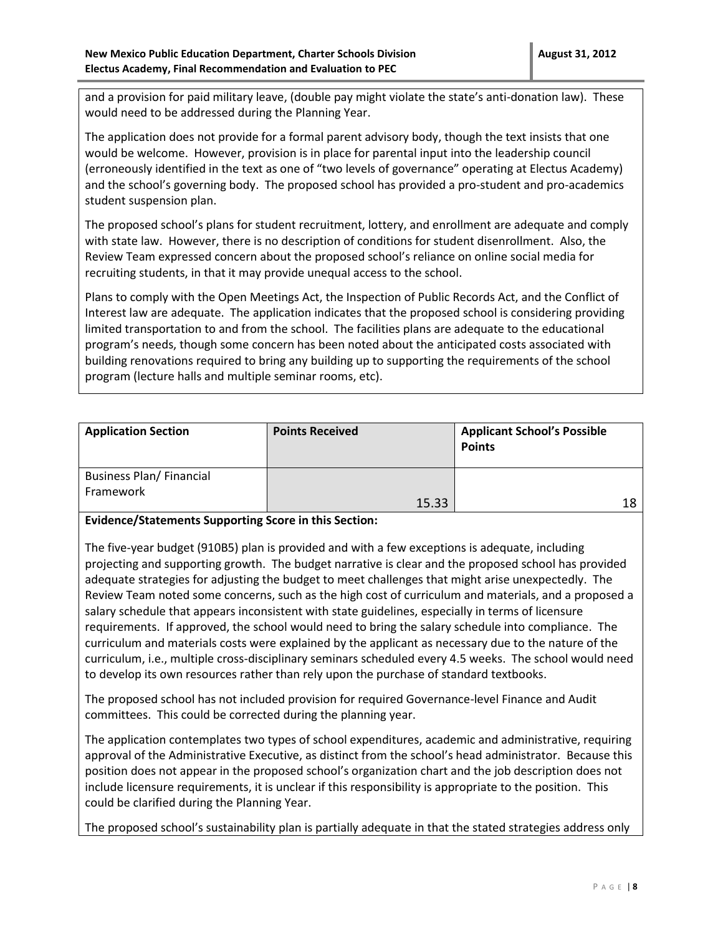and a provision for paid military leave, (double pay might violate the state's anti-donation law). These would need to be addressed during the Planning Year.

The application does not provide for a formal parent advisory body, though the text insists that one would be welcome. However, provision is in place for parental input into the leadership council (erroneously identified in the text as one of "two levels of governance" operating at Electus Academy) and the school's governing body. The proposed school has provided a pro-student and pro-academics student suspension plan.

The proposed school's plans for student recruitment, lottery, and enrollment are adequate and comply with state law. However, there is no description of conditions for student disenrollment. Also, the Review Team expressed concern about the proposed school's reliance on online social media for recruiting students, in that it may provide unequal access to the school.

Plans to comply with the Open Meetings Act, the Inspection of Public Records Act, and the Conflict of Interest law are adequate. The application indicates that the proposed school is considering providing limited transportation to and from the school. The facilities plans are adequate to the educational program's needs, though some concern has been noted about the anticipated costs associated with building renovations required to bring any building up to supporting the requirements of the school program (lecture halls and multiple seminar rooms, etc).

| <b>Application Section</b>                   | <b>Points Received</b> | <b>Applicant School's Possible</b><br><b>Points</b> |
|----------------------------------------------|------------------------|-----------------------------------------------------|
| <b>Business Plan/ Financial</b><br>Framework | 15.33                  | 1 Ջ                                                 |

**Evidence/Statements Supporting Score in this Section:**

The five-year budget (910B5) plan is provided and with a few exceptions is adequate, including projecting and supporting growth. The budget narrative is clear and the proposed school has provided adequate strategies for adjusting the budget to meet challenges that might arise unexpectedly. The Review Team noted some concerns, such as the high cost of curriculum and materials, and a proposed a salary schedule that appears inconsistent with state guidelines, especially in terms of licensure requirements. If approved, the school would need to bring the salary schedule into compliance. The curriculum and materials costs were explained by the applicant as necessary due to the nature of the curriculum, i.e., multiple cross-disciplinary seminars scheduled every 4.5 weeks. The school would need to develop its own resources rather than rely upon the purchase of standard textbooks.

The proposed school has not included provision for required Governance-level Finance and Audit committees. This could be corrected during the planning year.

The application contemplates two types of school expenditures, academic and administrative, requiring approval of the Administrative Executive, as distinct from the school's head administrator. Because this position does not appear in the proposed school's organization chart and the job description does not include licensure requirements, it is unclear if this responsibility is appropriate to the position. This could be clarified during the Planning Year.

The proposed school's sustainability plan is partially adequate in that the stated strategies address only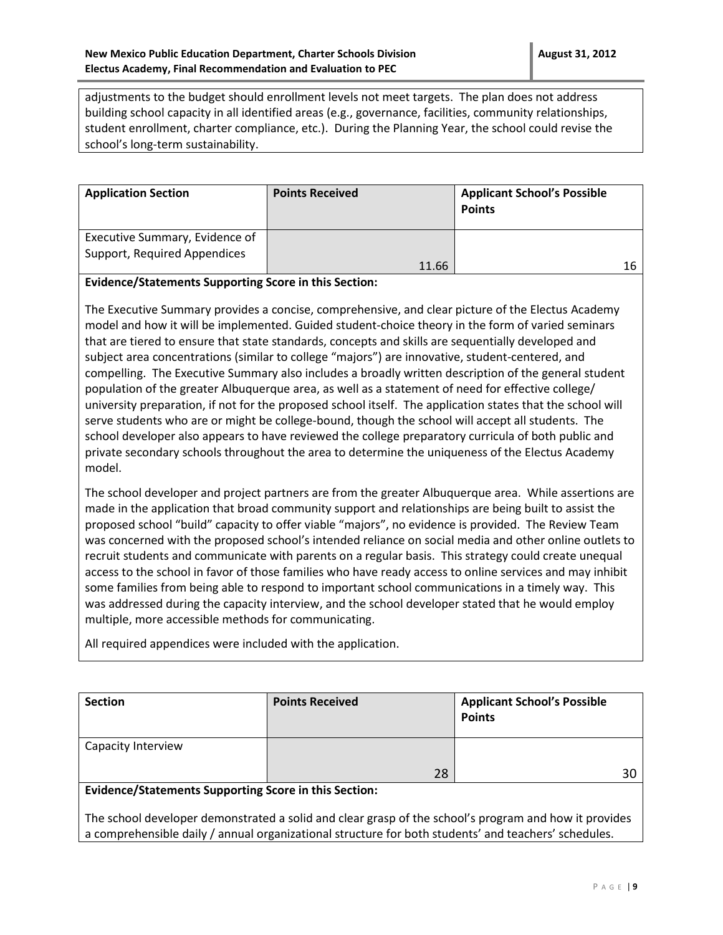adjustments to the budget should enrollment levels not meet targets. The plan does not address building school capacity in all identified areas (e.g., governance, facilities, community relationships, student enrollment, charter compliance, etc.). During the Planning Year, the school could revise the school's long-term sustainability.

| <b>Application Section</b>                                     | <b>Points Received</b> | <b>Applicant School's Possible</b><br><b>Points</b> |
|----------------------------------------------------------------|------------------------|-----------------------------------------------------|
| Executive Summary, Evidence of<br>Support, Required Appendices | 11.66                  | 16                                                  |

#### **Evidence/Statements Supporting Score in this Section:**

The Executive Summary provides a concise, comprehensive, and clear picture of the Electus Academy model and how it will be implemented. Guided student-choice theory in the form of varied seminars that are tiered to ensure that state standards, concepts and skills are sequentially developed and subject area concentrations (similar to college "majors") are innovative, student-centered, and compelling. The Executive Summary also includes a broadly written description of the general student population of the greater Albuquerque area, as well as a statement of need for effective college/ university preparation, if not for the proposed school itself. The application states that the school will serve students who are or might be college-bound, though the school will accept all students. The school developer also appears to have reviewed the college preparatory curricula of both public and private secondary schools throughout the area to determine the uniqueness of the Electus Academy model.

The school developer and project partners are from the greater Albuquerque area. While assertions are made in the application that broad community support and relationships are being built to assist the proposed school "build" capacity to offer viable "majors", no evidence is provided. The Review Team was concerned with the proposed school's intended reliance on social media and other online outlets to recruit students and communicate with parents on a regular basis. This strategy could create unequal access to the school in favor of those families who have ready access to online services and may inhibit some families from being able to respond to important school communications in a timely way. This was addressed during the capacity interview, and the school developer stated that he would employ multiple, more accessible methods for communicating.

All required appendices were included with the application. L

| <b>Section</b>     | <b>Points Received</b> | <b>Applicant School's Possible</b><br><b>Points</b> |
|--------------------|------------------------|-----------------------------------------------------|
| Capacity Interview |                        |                                                     |
|                    | 28                     |                                                     |

#### **Evidence/Statements Supporting Score in this Section:**

The school developer demonstrated a solid and clear grasp of the school's program and how it provides a comprehensible daily / annual organizational structure for both students' and teachers' schedules.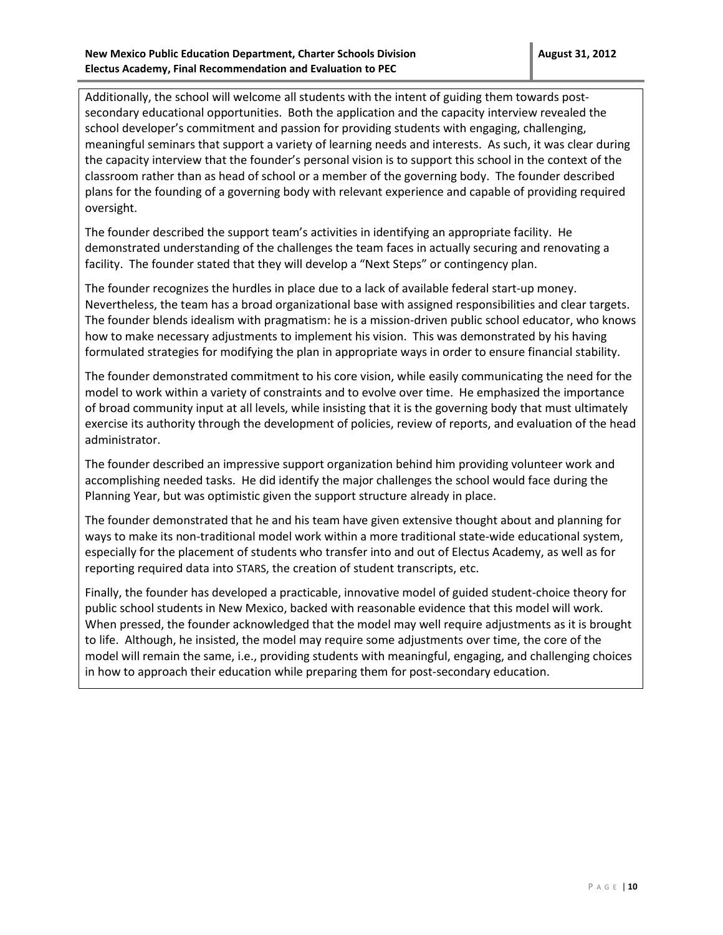Additionally, the school will welcome all students with the intent of guiding them towards postsecondary educational opportunities. Both the application and the capacity interview revealed the school developer's commitment and passion for providing students with engaging, challenging, meaningful seminars that support a variety of learning needs and interests. As such, it was clear during the capacity interview that the founder's personal vision is to support this school in the context of the classroom rather than as head of school or a member of the governing body. The founder described plans for the founding of a governing body with relevant experience and capable of providing required oversight.

The founder described the support team's activities in identifying an appropriate facility. He demonstrated understanding of the challenges the team faces in actually securing and renovating a facility. The founder stated that they will develop a "Next Steps" or contingency plan.

The founder recognizes the hurdles in place due to a lack of available federal start-up money. Nevertheless, the team has a broad organizational base with assigned responsibilities and clear targets. The founder blends idealism with pragmatism: he is a mission-driven public school educator, who knows how to make necessary adjustments to implement his vision. This was demonstrated by his having formulated strategies for modifying the plan in appropriate ways in order to ensure financial stability.

The founder demonstrated commitment to his core vision, while easily communicating the need for the model to work within a variety of constraints and to evolve over time. He emphasized the importance of broad community input at all levels, while insisting that it is the governing body that must ultimately exercise its authority through the development of policies, review of reports, and evaluation of the head administrator.

The founder described an impressive support organization behind him providing volunteer work and accomplishing needed tasks. He did identify the major challenges the school would face during the Planning Year, but was optimistic given the support structure already in place.

The founder demonstrated that he and his team have given extensive thought about and planning for ways to make its non-traditional model work within a more traditional state-wide educational system, especially for the placement of students who transfer into and out of Electus Academy, as well as for reporting required data into STARS, the creation of student transcripts, etc.

Finally, the founder has developed a practicable, innovative model of guided student-choice theory for public school students in New Mexico, backed with reasonable evidence that this model will work. When pressed, the founder acknowledged that the model may well require adjustments as it is brought to life. Although, he insisted, the model may require some adjustments over time, the core of the model will remain the same, i.e., providing students with meaningful, engaging, and challenging choices in how to approach their education while preparing them for post-secondary education.